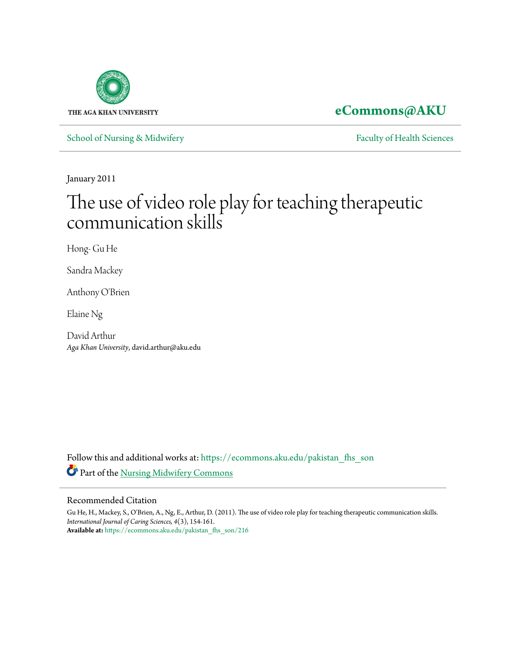

**[eCommons@AKU](https://ecommons.aku.edu?utm_source=ecommons.aku.edu%2Fpakistan_fhs_son%2F216&utm_medium=PDF&utm_campaign=PDFCoverPages)**

[School of Nursing & Midwifery](https://ecommons.aku.edu/pakistan_fhs_son?utm_source=ecommons.aku.edu%2Fpakistan_fhs_son%2F216&utm_medium=PDF&utm_campaign=PDFCoverPages) **[Faculty of Health Sciences](https://ecommons.aku.edu/pakistan_fhs?utm_source=ecommons.aku.edu%2Fpakistan_fhs_son%2F216&utm_medium=PDF&utm_campaign=PDFCoverPages)** Faculty of Health Sciences

January 2011

# The use of video role play for teaching therapeutic communication skills

Hong- Gu He

Sandra Mackey

Anthony O'Brien

Elaine Ng

David Arthur *Aga Khan University*, david.arthur@aku.edu

Follow this and additional works at: [https://ecommons.aku.edu/pakistan\\_fhs\\_son](https://ecommons.aku.edu/pakistan_fhs_son?utm_source=ecommons.aku.edu%2Fpakistan_fhs_son%2F216&utm_medium=PDF&utm_campaign=PDFCoverPages) Part of the [Nursing Midwifery Commons](http://network.bepress.com/hgg/discipline/722?utm_source=ecommons.aku.edu%2Fpakistan_fhs_son%2F216&utm_medium=PDF&utm_campaign=PDFCoverPages)

### Recommended Citation

Gu He, H., Mackey, S., O'Brien, A., Ng, E., Arthur, D. (2011). The use of video role play for teaching therapeutic communication skills. *International Journal of Caring Sciences, 4*(3), 154-161. **Available at:** [https://ecommons.aku.edu/pakistan\\_fhs\\_son/216](https://ecommons.aku.edu/pakistan_fhs_son/216)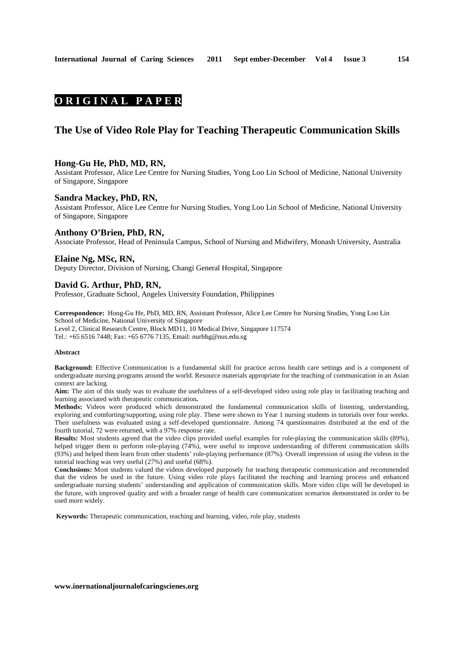**154**

# **O R I G I N A L P A P E R**

## **The Use of Video Role Play for Teaching Therapeutic Communication Skills**

#### **Hong-Gu He, PhD, MD, RN,**

Assistant Professor, Alice Lee Centre for Nursing Studies, Yong Loo Lin School of Medicine, National University of Singapore, Singapore

#### **Sandra Mackey, PhD, RN,**

Assistant Professor, Alice Lee Centre for Nursing Studies, Yong Loo Lin School of Medicine, National University of Singapore, Singapore

#### **Anthony O'Brien, PhD, RN,**

Associate Professor, Head of Peninsula Campus, School of Nursing and Midwifery, Monash University, Australia

## **Elaine Ng, MSc, RN,**

Deputy Director, Division of Nursing, Changi General Hospital, Singapore

#### **David G. Arthur, PhD, RN,**

Professor, Graduate School, Angeles University Foundation, Philippines

**Correspondence:** Hong-Gu He, PhD, MD, RN, Assistant Professor, Alice Lee Centre for Nursing Studies, Yong Loo Lin School of Medicine, National University of Singapore Level 2, Clinical Research Centre, Block MD11, 10 Medical Drive, Singapore 117574 Tel.: +65 6516 7448; Fax: +65 6776 7135, Email: nurhhg@nus.edu.sg

#### **Abstract**

**Background:** Effective Communication is a fundamental skill for practice across health care settings and is a component of undergraduate nursing programs around the world. Resource materials appropriate for the teaching of communication in an Asian context are lacking.

**Aim:** The aim of this study was to evaluate the usefulness of a self-developed video using role play in facilitating teaching and learning associated with therapeutic communication**.**

**Methods:** Videos were produced which demonstrated the fundamental communication skills of listening, understanding, exploring and comforting/supporting, using role play. These were shown to Year 1 nursing students in tutorials over four weeks. Their usefulness was evaluated using a self-developed questionnaire. Among 74 questionnaires distributed at the end of the fourth tutorial, 72 were returned, with a 97% response rate.

**Results:** Most students agreed that the video clips provided useful examples for role-playing the communication skills (89%), helped trigger them to perform role-playing (74%), were useful to improve understanding of different communication skills (93%) and helped them learn from other students' role-playing performance (87%). Overall impression of using the videos in the tutorial teaching was very useful (27%) and useful (68%).

**Conclusions:** Most students valued the videos developed purposely for teaching therapeutic communication and recommended that the videos be used in the future. Using video role plays facilitated the teaching and learning process and enhanced undergraduate nursing students' understanding and application of communication skills. More video clips will be developed in the future, with improved quality and with a broader range of health care communication scenarios demonstrated in order to be used more widely.

 **Keywords:** Therapeutic communication, teaching and learning, video, role play, students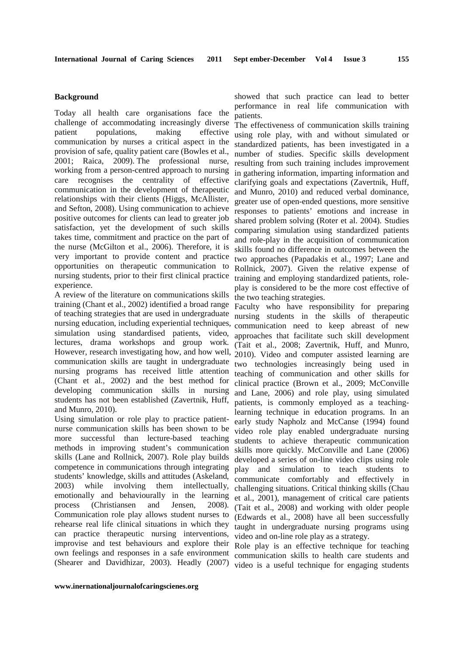### **Background**

Today all health care organisations face the challenge of accommodating increasingly diverse patient populations, making effective communication by nurses a critical aspect in the provision of safe, quality patient care (Bowles et al., 2001; Raica, 2009). The professional nurse, working from a person-centred approach to nursing care recognises the centrality of effective communication in the development of therapeutic relationships with their clients (Higgs, McAllister, and Sefton, 2008). Using communication to achieve positive outcomes for clients can lead to greater job satisfaction, yet the development of such skills takes time, commitment and practice on the part of the nurse (McGilton et al., 2006). Therefore, it is very important to provide content and practice opportunities on therapeutic communication to nursing students, prior to their first clinical practice experience.

A review of the literature on communications skills training (Chant et al., 2002) identified a broad range of teaching strategies that are used in undergraduate nursing education, including experiential techniques, simulation using standardised patients, video, lectures, drama workshops and group work. However, research investigating how, and how well, communication skills are taught in undergraduate nursing programs has received little attention (Chant et al., 2002) and the best method for developing communication skills in nursing students has not been established (Zavertnik, Huff, and Munro, 2010).

Using simulation or role play to practice patientnurse communication skills has been shown to be more successful than lecture-based teaching methods in improving student's communication skills (Lane and Rollnick, 2007). Role play builds competence in communications through integrating students' knowledge, skills and attitudes (Askeland, 2003) while involving them intellectually, emotionally and behaviourally in the learning process (Christiansen and Jensen, 2008). Communication role play allows student nurses to rehearse real life clinical situations in which they can practice therapeutic nursing interventions, improvise and test behaviours and explore their own feelings and responses in a safe environment

showed that such practice can lead to better performance in real life communication with patients.

The effectiveness of communication skills training using role play, with and without simulated or standardized patients, has been investigated in a number of studies. Specific skills development resulting from such training includes improvement in gathering information, imparting information and clarifying goals and expectations (Zavertnik, Huff, and Munro, 2010) and reduced verbal dominance, greater use of open-ended questions, more sensitive responses to patients' emotions and increase in shared problem solving (Roter et al. 2004). Studies comparing simulation using standardized patients and role-play in the acquisition of communication skills found no difference in outcomes between the two approaches (Papadakis et al., 1997; Lane and Rollnick, 2007). Given the relative expense of training and employing standardized patients, roleplay is considered to be the more cost effective of the two teaching strategies.

Faculty who have responsibility for preparing nursing students in the skills of therapeutic communication need to keep abreast of new approaches that facilitate such skill development (Tait et al., 2008; Zavertnik, Huff, and Munro, 2010). Video and computer assisted learning are two technologies increasingly being used in teaching of communication and other skills for clinical practice (Brown et al., 2009; McConville and Lane, 2006) and role play, using simulated patients, is commonly employed as a teachinglearning technique in education programs. In an early study Napholz and McCanse (1994) found video role play enabled undergraduate nursing students to achieve therapeutic communication skills more quickly. McConville and Lane (2006) developed a series of on-line video clips using role play and simulation to teach students to communicate comfortably and effectively in challenging situations. Critical thinking skills (Chau et al., 2001), management of critical care patients (Tait et al., 2008) and working with older people (Edwards et al., 2008) have all been successfully taught in undergraduate nursing programs using video and on-line role play as a strategy.

(Shearer and Davidhizar, 2003). Headly (2007) video is a useful technique for engaging students Role play is an effective technique for teaching communication skills to health care students and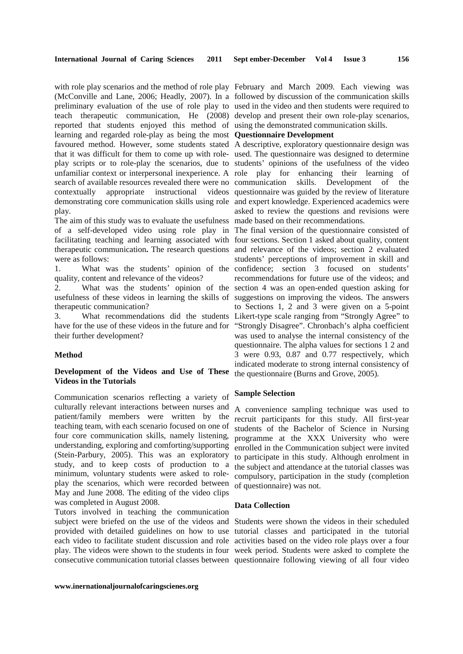(McConville and Lane, 2006; Headly, 2007). In a followed by discussion of the communication skills preliminary evaluation of the use of role play to used in the video and then students were required to teach therapeutic communication, He (2008) develop and present their own role-play scenarios, reported that students enjoyed this method of using the demonstrated communication skills. learning and regarded role-play as being the most **Questionnaire Development**  favoured method. However, some students stated A descriptive, exploratory questionnaire design was that it was difficult for them to come up with role-used. The questionnaire was designed to determine play scripts or to role-play the scenarios, due to students' opinions of the usefulness of the video unfamiliar context or interpersonal inexperience. A role play for enhancing their learning of search of available resources revealed there were no communication skills. Development of the contextually appropriate instructional videos questionnaire was guided by the review of literature demonstrating core communication skills using role and expert knowledge. Experienced academics were play.

The aim of this study was to evaluate the usefulness made based on their recommendations. of a self-developed video using role play in The final version of the questionnaire consisted of were as follows:

quality, content and relevance of the videos?

2. What was the students' opinion of the usefulness of these videos in learning the skills of therapeutic communication?

have for the use of these videos in the future and for their further development?

#### **Method**

### **Development of the Videos and Use of These Videos in the Tutorials**

Communication scenarios reflecting a variety of culturally relevant interactions between nurses and patient/family members were written by the teaching team, with each scenario focused on one of four core communication skills, namely listening, understanding, exploring and comforting/supporting (Stein-Parbury, 2005). This was an exploratory study, and to keep costs of production to a minimum, voluntary students were asked to roleplay the scenarios, which were recorded between May and June 2008. The editing of the video clips was completed in August 2008.

Tutors involved in teaching the communication

**www.inernationaljournalofcaringscienes.org**

with role play scenarios and the method of role play February and March 2009. Each viewing was

asked to review the questions and revisions were

facilitating teaching and learning associated with four sections. Section 1 asked about quality, content therapeutic communication**.** The research questions and relevance of the videos; section 2 evaluated 1. What was the students' opinion of the confidence; section 3 focused on students' 3. What recommendations did the students Likert-type scale ranging from "Strongly Agree" to students' perceptions of improvement in skill and recommendations for future use of the videos; and section 4 was an open-ended question asking for suggestions on improving the videos. The answers to Sections 1, 2 and 3 were given on a 5-point "Strongly Disagree". Chronbach's alpha coefficient was used to analyse the internal consistency of the questionnaire. The alpha values for sections 1 2 and 3 were 0.93, 0.87 and 0.77 respectively, which indicated moderate to strong internal consistency of the questionnaire (Burns and Grove, 2005).

#### **Sample Selection**

A convenience sampling technique was used to recruit participants for this study. All first-year students of the Bachelor of Science in Nursing programme at the XXX University who were enrolled in the Communication subject were invited to participate in this study. Although enrolment in the subject and attendance at the tutorial classes was compulsory, participation in the study (completion of questionnaire) was not.

#### **Data Collection**

subject were briefed on the use of the videos and Students were shown the videos in their scheduled provided with detailed guidelines on how to use tutorial classes and participated in the tutorial each video to facilitate student discussion and role activities based on the video role plays over a four play. The videos were shown to the students in four week period. Students were asked to complete the consecutive communication tutorial classes between questionnaire following viewing of all four video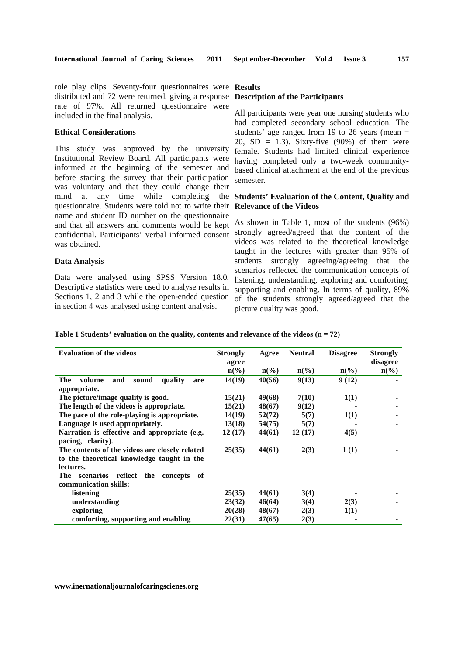role play clips. Seventy-four questionnaires were **Results**  distributed and 72 were returned, giving a response **Description of the Participants**  rate of 97%. All returned questionnaire were included in the final analysis.

#### **Ethical Considerations**

This study was approved by the university Institutional Review Board. All participants were informed at the beginning of the semester and before starting the survey that their participation was voluntary and that they could change their mind at any time while completing questionnaire. Students were told not to write their **Relevance of the Videos**  name and student ID number on the questionnaire and that all answers and comments would be kept confidential. Participants' verbal informed consent was obtained.

#### **Data Analysis**

Data were analysed using SPSS Version 18.0. Descriptive statistics were used to analyse results in Sections 1, 2 and 3 while the open-ended question in section 4 was analysed using content analysis.

All participants were year one nursing students who had completed secondary school education. The students' age ranged from 19 to 26 years (mean = 20,  $SD = 1.3$ ). Sixty-five (90%) of them were female. Students had limited clinical experience having completed only a two-week communitybased clinical attachment at the end of the previous semester.

# **Students' Evaluation of the Content, Quality and**

As shown in Table 1, most of the students (96%) strongly agreed/agreed that the content of the videos was related to the theoretical knowledge taught in the lectures with greater than 95% of students strongly agreeing/agreeing that the scenarios reflected the communication concepts of listening, understanding, exploring and comforting, supporting and enabling. In terms of quality, 89% of the students strongly agreed/agreed that the picture quality was good.

**Table 1 Students' evaluation on the quality, contents and relevance of the videos (n = 72)** 

| <b>Evaluation of the videos</b>                                                                           | <b>Strongly</b><br>agree | Agree                       | <b>Neutral</b>              | <b>Disagree</b>    | <b>Strongly</b><br>disagree |
|-----------------------------------------------------------------------------------------------------------|--------------------------|-----------------------------|-----------------------------|--------------------|-----------------------------|
|                                                                                                           | $n\left(\%\right)$       | $n\left(\frac{6}{6}\right)$ | $n\left(\frac{6}{6}\right)$ | $n\left(\%\right)$ | $\mathbf{n}(\%)$            |
| quality<br><b>The</b><br>volume<br>and<br>sound<br>are<br>appropriate.                                    | 14(19)                   | 40(56)                      | 9(13)                       | 9(12)              |                             |
| The picture/image quality is good.                                                                        | 15(21)                   | 49(68)                      | 7(10)                       | 1(1)               |                             |
| The length of the videos is appropriate.                                                                  | 15(21)                   | 48(67)                      | 9(12)                       |                    |                             |
| The pace of the role-playing is appropriate.                                                              | 14(19)                   | 52(72)                      | 5(7)                        | 1(1)               |                             |
| Language is used appropriately.                                                                           | 13(18)                   | 54(75)                      | 5(7)                        |                    |                             |
| Narration is effective and appropriate (e.g.<br>pacing, clarity).                                         | 12(17)                   | 44(61)                      | 12(17)                      | 4(5)               |                             |
| The contents of the videos are closely related<br>to the theoretical knowledge taught in the<br>lectures. | 25(35)                   | 44(61)                      | 2(3)                        | 1(1)               |                             |
| scenarios reflect the<br>The <b>The</b><br>concepts of<br>communication skills:                           |                          |                             |                             |                    |                             |
| listening                                                                                                 | 25(35)                   | 44(61)                      | 3(4)                        |                    |                             |
| understanding                                                                                             | 23(32)                   | 46(64)                      | 3(4)                        | 2(3)               |                             |
| exploring                                                                                                 | 20(28)                   | 48(67)                      | 2(3)                        | 1(1)               |                             |
| comforting, supporting and enabling                                                                       | 22(31)                   | 47(65)                      | 2(3)                        |                    |                             |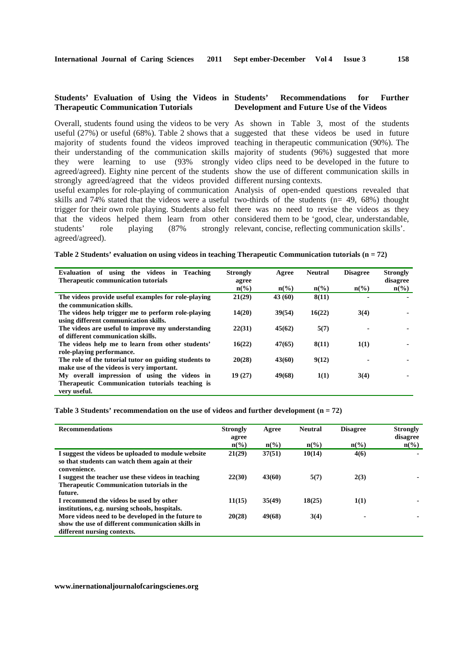### **Students' Evaluation of Using the Videos in Therapeutic Communication Tutorials**

Overall, students found using the videos to be very As shown in Table 3, most of the students strongly agreed/agreed that the videos provided different nursing contexts. useful examples for role-playing of communication Analysis of open-ended questions revealed that that the videos helped them learn from other considered them to be 'good, clear, understandable, students' role playing (87% strongly relevant, concise, reflecting communication skills'. agreed/agreed).

#### Recommendations for Further **Development and Future Use of the Videos**

useful (27%) or useful (68%). Table 2 shows that a suggested that these videos be used in future majority of students found the videos improved teaching in therapeutic communication (90%). The their understanding of the communication skills majority of students (96%) suggested that more they were learning to use (93% strongly video clips need to be developed in the future to agreed/agreed). Eighty nine percent of the students show the use of different communication skills in

skills and 74% stated that the videos were a useful two-thirds of the students (n= 49, 68%) thought trigger for their own role playing. Students also felt there was no need to revise the videos as they

|  | Table 2 Students' evaluation on using videos in teaching Therapeutic Communication tutorials $(n = 72)$ |  |  |  |  |  |
|--|---------------------------------------------------------------------------------------------------------|--|--|--|--|--|
|--|---------------------------------------------------------------------------------------------------------|--|--|--|--|--|

| Evaluation of using the videos in Teaching            | <b>Strongly</b> | Agree           | <b>Neutral</b>  | <b>Disagree</b> | <b>Strongly</b>    |
|-------------------------------------------------------|-----------------|-----------------|-----------------|-----------------|--------------------|
| <b>Therapeutic communication tutorials</b>            | agree           |                 |                 |                 | disagree           |
|                                                       | $n\binom{0}{0}$ | $n\binom{0}{0}$ | $n\binom{0}{0}$ | $n\binom{0}{0}$ | $n\left(\%\right)$ |
| The videos provide useful examples for role-playing   | 21(29)          | 43(60)          | 8(11)           |                 |                    |
| the communication skills.                             |                 |                 |                 |                 |                    |
| The videos help trigger me to perform role-playing    | 14(20)          | 39(54)          | 16(22)          | 3(4)            |                    |
| using different communication skills.                 |                 |                 |                 |                 |                    |
| The videos are useful to improve my understanding     | 22(31)          | 45(62)          | 5(7)            |                 |                    |
| of different communication skills.                    |                 |                 |                 |                 |                    |
| The videos help me to learn from other students'      | 16(22)          | 47(65)          | 8(11)           | 1(1)            | ۰                  |
| role-playing performance.                             |                 |                 |                 |                 |                    |
| The role of the tutorial tutor on guiding students to | 20(28)          | 43(60)          | 9(12)           |                 |                    |
| make use of the videos is very important.             |                 |                 |                 |                 |                    |
| My overall impression of using the videos in          | 19(27)          | 49(68)          | 1(1)            | 3(4)            |                    |
| Therapeutic Communication tutorials teaching is       |                 |                 |                 |                 |                    |
| very useful.                                          |                 |                 |                 |                 |                    |

**Table 3 Students' recommendation on the use of videos and further development (n = 72)** 

| <b>Recommendations</b>                                                                                                                | <b>Strongly</b><br>agree | Agree           | <b>Neutral</b>              | <b>Disagree</b>  | <b>Strongly</b><br>disagree |
|---------------------------------------------------------------------------------------------------------------------------------------|--------------------------|-----------------|-----------------------------|------------------|-----------------------------|
|                                                                                                                                       | $n\binom{0}{0}$          | $n\binom{0}{0}$ | $n\left(\frac{6}{6}\right)$ | $\mathbf{n}(\%)$ | $\mathbf{n}(\%)$            |
| I suggest the videos be uploaded to module website<br>so that students can watch them again at their<br>convenience.                  | 21(29)                   | 37(51)          | 10(14)                      | 4(6)             |                             |
| I suggest the teacher use these videos in teaching<br><b>Therapeutic Communication tutorials in the</b><br>future.                    | 22(30)                   | 43(60)          | 5(7)                        | 2(3)             |                             |
| I recommend the videos be used by other<br>institutions, e.g. nursing schools, hospitals.                                             | 11(15)                   | 35(49)          | 18(25)                      | 1(1)             |                             |
| More videos need to be developed in the future to<br>show the use of different communication skills in<br>different nursing contexts. | 20(28)                   | 49(68)          | 3(4)                        |                  |                             |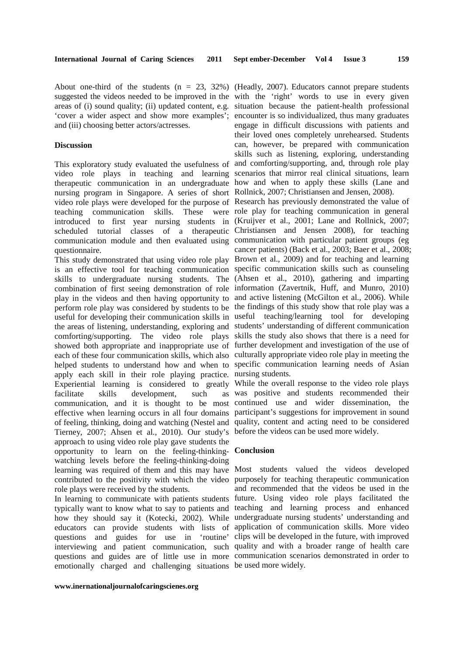'cover a wider aspect and show more examples'; encounter is so individualized, thus many graduates and (iii) choosing better actors/actresses.

#### **Discussion**

video role plays in teaching and learning scenarios that mirror real clinical situations, learn therapeutic communication in an undergraduate how and when to apply these skills (Lane and nursing program in Singapore. A series of short Rollnick, 2007; Christiansen and Jensen, 2008). video role plays were developed for the purpose of Research has previously demonstrated the value of teaching communication skills. These were role play for teaching communication in general introduced to first year nursing students in (Kruijver et al., 2001; Lane and Rollnick, 2007; scheduled tutorial classes of a therapeutic Christiansen and Jensen 2008), for teaching communication module and then evaluated using communication with particular patient groups (eg questionnaire.

is an effective tool for teaching communication specific communication skills such as counseling skills to undergraduate nursing students. The (Ahsen et al., 2010), gathering and imparting combination of first seeing demonstration of role information (Zavertnik, Huff, and Munro, 2010) play in the videos and then having opportunity to and active listening (McGilton et al., 2006). While perform role play was considered by students to be the findings of this study show that role play was a useful for developing their communication skills in useful teaching/learning tool for developing the areas of listening, understanding, exploring and students' understanding of different communication comforting/supporting. The video role plays skills the study also shows that there is a need for showed both appropriate and inappropriate use of further development and investigation of the use of each of these four communication skills, which also culturally appropriate video role play in meeting the helped students to understand how and when to specific communication learning needs of Asian apply each skill in their role playing practice. nursing students. Experiential learning is considered to greatly While the overall response to the video role plays facilitate skills development, such communication, and it is thought to be most continued use and wider dissemination, the effective when learning occurs in all four domains participant's suggestions for improvement in sound of feeling, thinking, doing and watching (Nestel and quality, content and acting need to be considered Tierney, 2007; Ahsen et al., 2010). Our study's before the videos can be used more widely. approach to using video role play gave students the opportunity to learn on the feeling-thinking-**Conclusion**  watching levels before the feeling-thinking-doing learning was required of them and this may have Most students valued the videos developed contributed to the positivity with which the video purposely for teaching therapeutic communication role plays were received by the students.

typically want to know what to say to patients and teaching and learning process and enhanced how they should say it (Kotecki, 2002). While undergraduate nursing students' understanding and educators can provide students with lists of application of communication skills. More video questions and guides for use in 'routine' clips will be developed in the future, with improved interviewing and patient communication, such quality and with a broader range of health care questions and guides are of little use in more communication scenarios demonstrated in order to emotionally charged and challenging situations be used more widely.

About one-third of the students  $(n = 23, 32%)$  (Headly, 2007). Educators cannot prepare students suggested the videos needed to be improved in the with the 'right' words to use in every given areas of (i) sound quality; (ii) updated content, e.g. situation because the patient-health professional This exploratory study evaluated the usefulness of and comforting/supporting, and, through role play engage in difficult discussions with patients and their loved ones completely unrehearsed. Students can, however, be prepared with communication skills such as listening, exploring, understanding

This study demonstrated that using video role play Brown et al., 2009) and for teaching and learning cancer patients) (Back et al., 2003; Baer et al., 2008;

as was positive and students recommended their

In learning to communicate with patients students future. Using video role plays facilitated the and recommended that the videos be used in the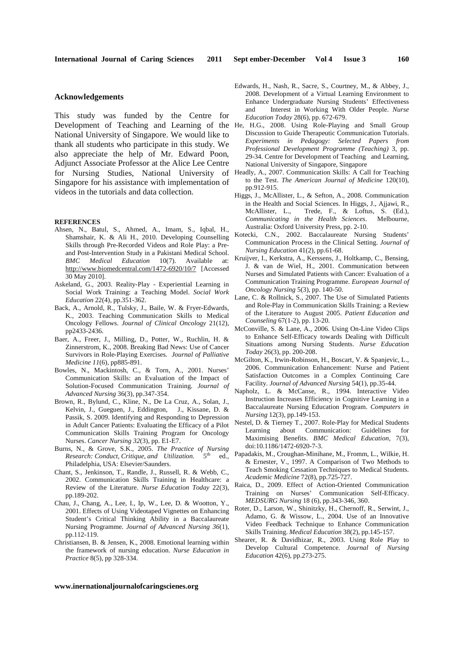#### **Acknowledgements**

This study was funded by the Centre for Development of Teaching and Learning of the National University of Singapore. We would like to thank all students who participate in this study. We also appreciate the help of Mr. Edward Poon, Adjunct Associate Professor at the Alice Lee Centre for Nursing Studies, National University of Singapore for his assistance with implementation of videos in the tutorials and data collection.

#### **REFERENCES**

- Ahsen, N., Batul, S., Ahmed, A., Imam, S., Iqbal, H., Shamshair, K. & Ali H., 2010. Developing Counselling Skills through Pre-Recorded Videos and Role Play: a Preand Post-Intervention Study in a Pakistani Medical School. *BMC Medical Education* 10(7). Available at: http://www.biomedcentral.com/1472-6920/10/7 [Accessed 30 May 2010].
- Askeland, G., 2003. Reality-Play Experiential Learning in Social Work Training: a Teaching Model. *Social Work Education* 22(4), pp.351-362.
- Back, A., Arnold, R., Tulsky, J., Baile, W. & Fryer-Edwards, K., 2003. Teaching Communication Skills to Medical Oncology Fellows. *Journal of Clinical Oncology* 21(12), pp2433-2436.
- Baer, A., Freer, J., Milling, D., Potter, W., Ruchlin, H. & Zinnerstrom, K., 2008. Breaking Bad News: Use of Cancer Survivors in Role-Playing Exercises. *Journal of Palliative Medicine 11*(6), pp885-891.
- Bowles, N., Mackintosh, C., & Torn, A., 2001. Nurses' Communication Skills: an Evaluation of the Impact of Solution-Focused Communication Training. *Journal of Advanced Nursing* 36(3), pp.347-354.
- Brown, R., Bylund, C., Kline, N., De La Cruz, A., Solan, J., Kelvin, J., Gueguen, J., Eddington, J., Kissane, D. & Passik, S. 2009. Identifying and Responding to Depression in Adult Cancer Patients: Evaluating the Efficacy of a Pilot Communication Skills Training Program for Oncology Nurses. *Cancer Nursing 32*(3), pp. E1-E7.
- Burns, N., & Grove, S.K., 2005. *The Practice of Nursing Research: Conduct, Critique, and Utilization.* 5th ed., Philadelphia, USA: Elsevier/Saunders.
- Chant, S., Jenkinson, T., Randle, J., Russell, R. & Webb, C., 2002. Communication Skills Training in Healthcare: a Review of the Literature. *Nurse Education Today* 22(3), pp.189-202.
- Chau, J., Chang, A., Lee, I., Ip, W., Lee, D. & Wootton, Y., 2001. Effects of Using Videotaped Vignettes on Enhancing Student's Critical Thinking Ability in a Baccalaureate Nursing Programme. *Journal of Advanced Nursing 36*(1), pp.112-119.
- Christiansen, B. & Jensen, K., 2008. Emotional learning within the framework of nursing education. *Nurse Education in Practice* 8(5), pp 328-334.
- Edwards, H., Nash, R., Sacre, S., Courtney, M., & Abbey, J., 2008. Development of a Virtual Learning Environment to Enhance Undergraduate Nursing Students' Effectiveness and Interest in Working With Older People. *Nurse Education Today* 28(6), pp. 672-679.
- H.G., 2008. Using Role-Playing and Small Group Discussion to Guide Therapeutic Communication Tutorials. *Experiments in Pedagogy: Selected Papers from Professional Development Programme (Teaching)* 3, pp. 29-34. Centre for Development of Teaching and Learning, National University of Singapore, Singapore
- Headly, A., 2007. Communication Skills: A Call for Teaching to the Test. *The American Journal of Medicine* 120(10), pp.912-915.
- Higgs, J., McAllister, L., & Sefton, A., 2008. Communication in the Health and Social Sciences. In Higgs, J., Ajjawi, R., McAllister, L., Trede, F., & Loftus, S. (Ed.), *Communicating in the Health Sciences*. Melbourne, Australia: Oxford University Press, pp. 2-10.
- Kotecki, C.N., 2002. Baccalaureate Nursing Students' Communication Process in the Clinical Setting. *Journal of Nursing Education* 41(2), pp.61-68.
- Kruijver, I., Kerkstra, A., Kerssens, J., Holtkamp, C., Bensing, J. & van de Wiel, H., 2001. Communication between Nurses and Simulated Patients with Cancer: Evaluation of a Communication Training Programme. *European Journal of Oncology Nursing* 5(3), pp. 140-50.
- Lane, C. & Rollnick, S., 2007. The Use of Simulated Patients and Role-Play in Communication Skills Training: a Review of the Literature to August 2005. *Patient Education and Counseling* 67(1-2), pp. 13-20.
- McConville, S. & Lane, A., 2006. Using On-Line Video Clips to Enhance Self-Efficacy towards Dealing with Difficult Situations among Nursing Students. *Nurse Education Today* 26(3), pp. 200-208.
- McGilton, K., Irwin-Robinson, H., Boscart, V. & Spanjevic, L., 2006. Communication Enhancement: Nurse and Patient Satisfaction Outcomes in a Complex Continuing Care Facility. *Journal of Advanced Nursing* 54(1), pp.35-44.
- Napholz, L. & McCanse, R., 1994. Interactive Video Instruction Increases Efficiency in Cognitive Learning in a Baccalaureate Nursing Education Program. *Computers in Nursing* 12(3), pp.149-153.
- Nestel, D. & Tierney T., 2007. Role-Play for Medical Students Learning about Communication: Guidelines for Maximising Benefits. *BMC Medical Education,* 7(3), doi:10.1186/1472-6920-7-3.
- Papadakis, M., Croughan-Minihane, M., Fromm, L., Wilkie, H. & Ernester, V., 1997. A Comparison of Two Methods to Teach Smoking Cessation Techniques to Medical Students. *Academic Medicine* 72(8), pp.725-727.
- Raica, D., 2009. Effect of Action-Oriented Communication Training on Nurses' Communication Self-Efficacy. *MEDSURG Nursing* 18 (6), pp.343-346, 360.
- Roter, D., Larson, W., Shinitzky, H., Chernoff, R., Serwint, J., Adamo, G. & Wissow, L., 2004. Use of an Innovative Video Feedback Technique to Enhance Communication Skills Training. *Medical Education* 38(2), pp.145-157.
- Shearer, R. & Davidhizar, R., 2003. Using Role Play to Develop Cultural Competence. *Journal of Nursing Education* 42(6), pp.273-275.

#### **www.inernationaljournalofcaringscienes.org**